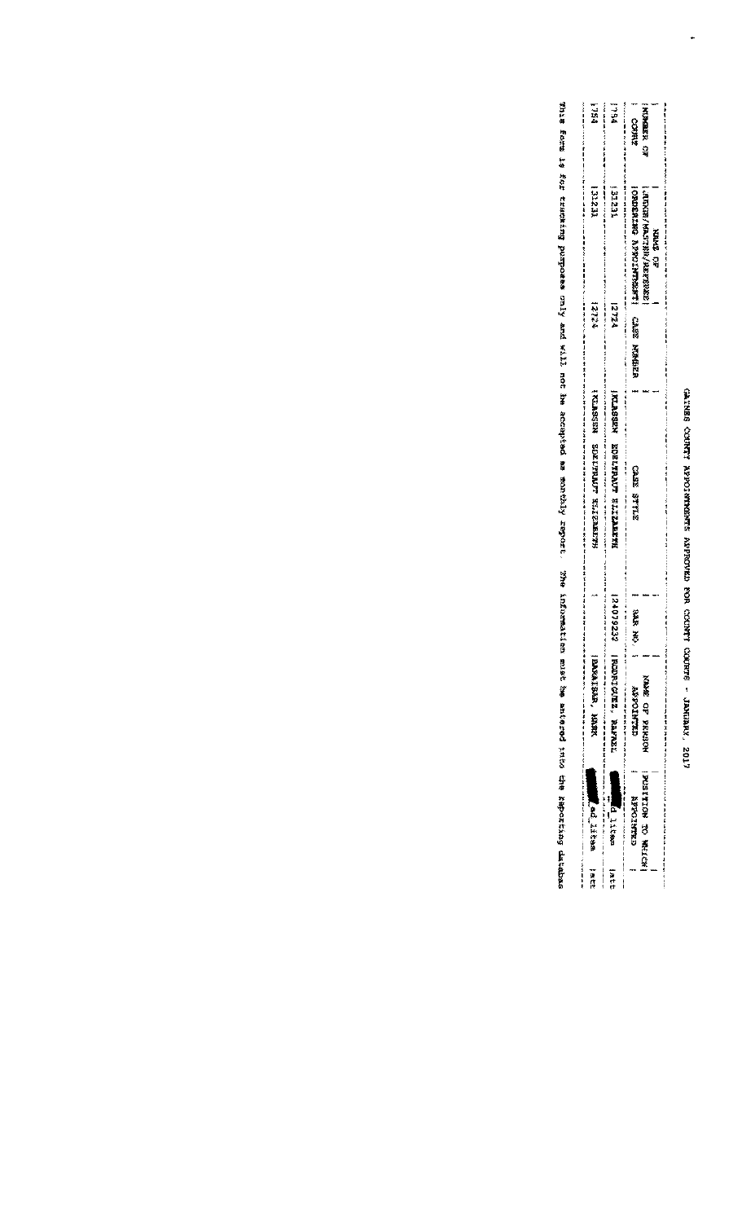## GAIRES COUNTY APPOINTMENTES APPOVED FOR COUNTY COURTS - JAMIARY, 2017

 $\ddot{\phantom{0}}$ 

| 医多重发育者 医多牙 计计算 计单位 医非生活 医多目 计字符 医单纯 医马克耳氏征 医阿尔比亚氏综合征 |                                                                                       |                                   |                                                                                                                                                                         | Anadaman Lanandan Lanandan Lanandan Lanandan Lanandan Lanandan Lanandan Lanandan Lanandan Lanandan Lanandan Lanandan Lanandan Lanandan Lanandan Lanandan Lanandan Lanandan Lanandan Lanandan Lanandan Lanandan Lanandan Lanan |                                                                           |                                                                                                                                                                              |                                                                                                                                                                                                                                                                                              |
|------------------------------------------------------|---------------------------------------------------------------------------------------|-----------------------------------|-------------------------------------------------------------------------------------------------------------------------------------------------------------------------|-------------------------------------------------------------------------------------------------------------------------------------------------------------------------------------------------------------------------------|---------------------------------------------------------------------------|------------------------------------------------------------------------------------------------------------------------------------------------------------------------------|----------------------------------------------------------------------------------------------------------------------------------------------------------------------------------------------------------------------------------------------------------------------------------------------|
| <b>Reduction of the Second State</b>                 |                                                                                       |                                   |                                                                                                                                                                         |                                                                                                                                                                                                                               |                                                                           | ו לכזכן                                                                                                                                                                      | 一つ話会                                                                                                                                                                                                                                                                                         |
|                                                      |                                                                                       |                                   |                                                                                                                                                                         |                                                                                                                                                                                                                               |                                                                           | 121231                                                                                                                                                                       | 1394                                                                                                                                                                                                                                                                                         |
|                                                      |                                                                                       |                                   |                                                                                                                                                                         | <b>GAS ARE</b>                                                                                                                                                                                                                |                                                                           | <b>I CROSTREAM REPORTED MAIN</b><br><b>SARAWAYA ARANG TERMANAGERIAN SEBAGAI SEBAGAI SEBAGAI SEBAGAI SEBAGAI SEBAGAI SEBAGAI SEBAGAI SEBAGAI SEBAGAI SE</b><br><b>ABAR CH</b> | <b>TANK CARDREN COM</b><br><b>THIRD</b>                                                                                                                                                                                                                                                      |
|                                                      | INCENTATION MS MELICAL<br><b>Alternational Linear Property</b><br><b>MARQ EXHIBIT</b> | XMM的 OF PRESOR<br><b>GRANDERY</b> | - 1964 - 1967 - 1978 - 1979 - 1987 - 1988 - 1989 - 1989 - 1989 - 1989 - 1989 - 1989 - 1989 - 1989 - 1989 - 198<br><b>HARAKAHARA ASASA</b><br><b>IRODET CURE. REFERE</b> | 24079232<br><b>CHA REA</b>                                                                                                                                                                                                    | <b>INGRESOR BURITY WILE SERVER</b><br> 美江美の宿民文 - 内口肉ご採製ANDT - 茶针片24-14株地区 |                                                                                                                                                                              | 地名加拿大亚加拿大亚西哥里亚亚亚西亚亚古卡尔基埃及奥尔基埃及奥尔基埃及美国中华国家的国家和国王华文化的国家和国王华文化的国家和国家的国家和国家的国家和国家的国家,也是在1999年10月11日,1999年<br>teran 目标的 transite 用用手上 transite 干上 transite 计数字 home transite 有某多的 home 用用某多 法审判者 医多种 医对象 法审判者 医多发体的 计可分类 化产品 医单位 计可分类 计中间 医多种性 计可分类 医中间性皮炎<br>12724<br>relati<br>C.M.H.N. XXXXXXX |

This form is fortanating pamposas only and will not had accepted in monthly report. The information will complement in a most into the report incomplement in the resolvent into determinant will complement in the resolvent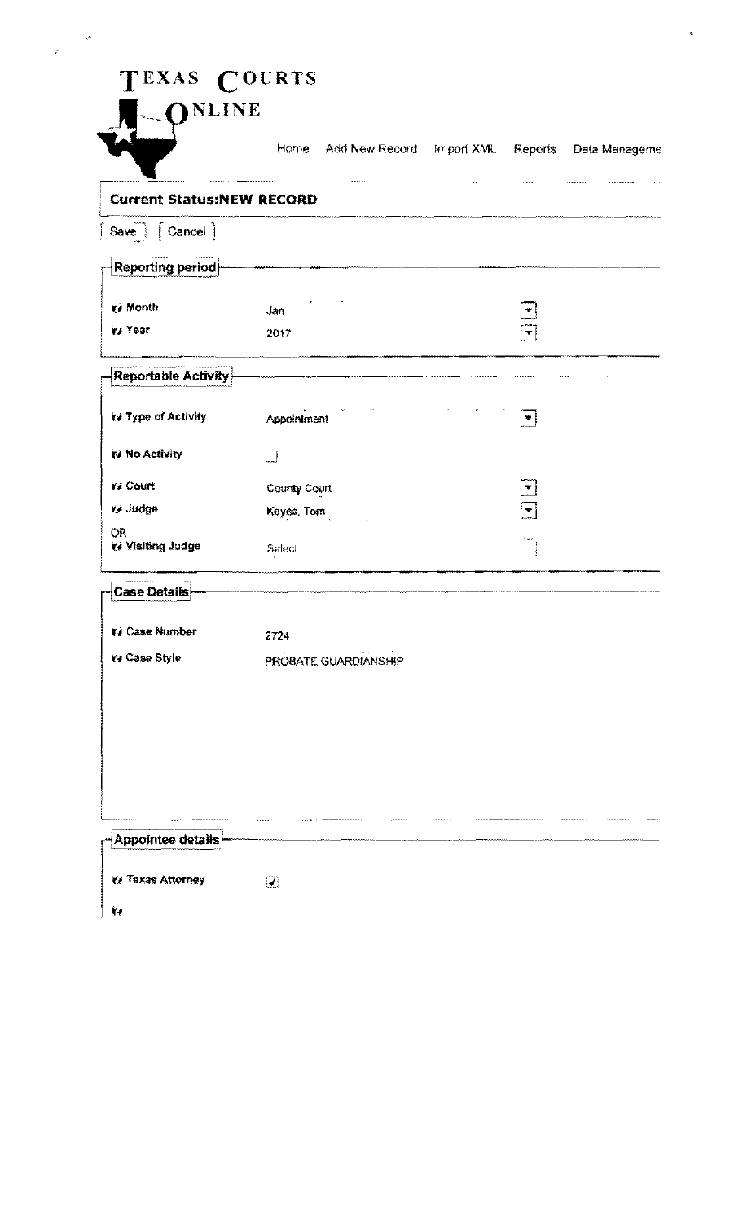## TEXAS COURTS



 $\frac{1}{\sqrt{2}}\left( \frac{1}{\sqrt{2}}\right) \left( \frac{1}{\sqrt{2}}\right) \left( \frac{1}{\sqrt{2}}\right) \left( \frac{1}{\sqrt{2}}\right) \left( \frac{1}{\sqrt{2}}\right) \left( \frac{1}{\sqrt{2}}\right) \left( \frac{1}{\sqrt{2}}\right) \left( \frac{1}{\sqrt{2}}\right) \left( \frac{1}{\sqrt{2}}\right) \left( \frac{1}{\sqrt{2}}\right) \left( \frac{1}{\sqrt{2}}\right) \left( \frac{1}{\sqrt{2}}\right) \left( \frac{1}{\sqrt{2}}\right) \left$ 

Home Add New Record Import XML Reports Data Manageme

i,

| <b>Current Status:NEW RECORD</b> |                      |                          |
|----------------------------------|----------------------|--------------------------|
| $Save$ $\left[$ Cancel $\right]$ |                      |                          |
| Reporting period                 |                      |                          |
|                                  |                      |                          |
| ₹i Month                         | Jan                  | $\bullet$                |
| in Year                          | 2017                 | $\vert \mathbf{r} \vert$ |
| Reportable Activity              |                      |                          |
| ty Type of Activity              | Appointment          | $ \cdot $                |
| (v) No Activity                  | $\Box$               |                          |
| Y. Court                         | County Court         | $\lfloor$ , $\rfloor$    |
| <b>G</b> Judge                   | Keyes, Tom           | $\left  \cdot \right $   |
| <b>OR</b><br>te Visiting Judge   | Select               |                          |
| Case Details                     |                      |                          |
| 1) Case Number                   | 2724                 |                          |
| ka Case Style                    | PROBATE GUARDIANSHIP |                          |
|                                  |                      |                          |
|                                  |                      |                          |
|                                  |                      |                          |
|                                  |                      |                          |
|                                  |                      |                          |
|                                  |                      |                          |
| Appointee details                |                      |                          |
| <b>El Texas Attorney</b>         | $\overline{J}$       |                          |
| f,                               |                      |                          |